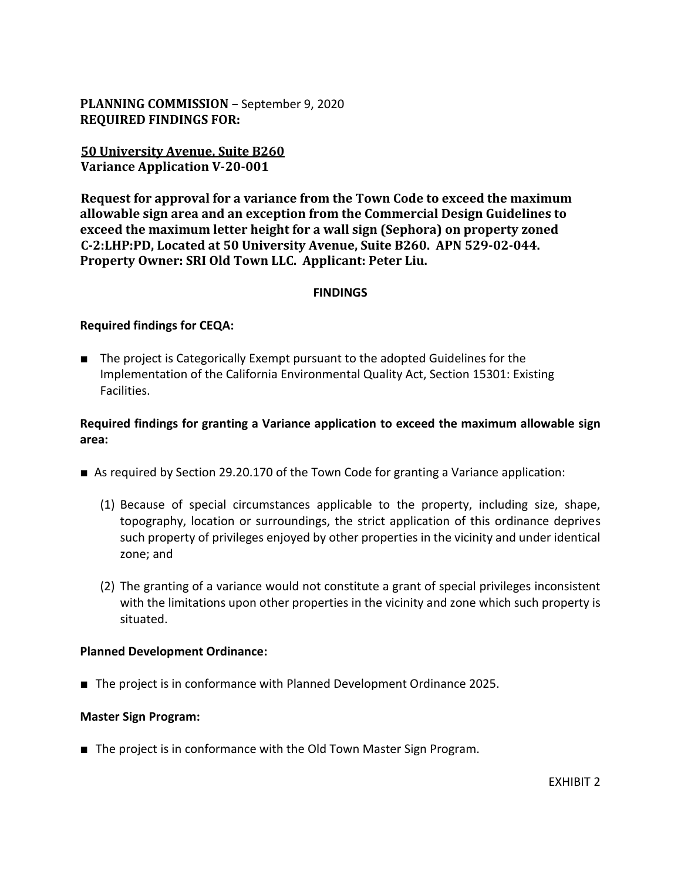**PLANNING COMMISSION –** September 9, 2020 **REQUIRED FINDINGS FOR:**

**50 University Avenue, Suite B260 Variance Application V-20-001**

**Request for approval for a variance from the Town Code to exceed the maximum allowable sign area and an exception from the Commercial Design Guidelines to exceed the maximum letter height for a wall sign (Sephora) on property zoned C-2:LHP:PD, Located at 50 University Avenue, Suite B260. APN 529-02-044. Property Owner: SRI Old Town LLC. Applicant: Peter Liu.**

## **FINDINGS**

## **Required findings for CEQA:**

■ The project is Categorically Exempt pursuant to the adopted Guidelines for the Implementation of the California Environmental Quality Act, Section 15301: Existing Facilities.

# **Required findings for granting a Variance application to exceed the maximum allowable sign area:**

- As required by Section 29.20.170 of the Town Code for granting a Variance application:
	- (1) Because of special circumstances applicable to the property, including size, shape, topography, location or surroundings, the strict application of this ordinance deprives such property of privileges enjoyed by other properties in the vicinity and under identical zone; and
	- (2) The granting of a variance would not constitute a grant of special privileges inconsistent with the limitations upon other properties in the vicinity and zone which such property is situated.

#### **Planned Development Ordinance:**

■ The project is in conformance with Planned Development Ordinance 2025.

#### **Master Sign Program:**

■ The project is in conformance with the Old Town Master Sign Program.